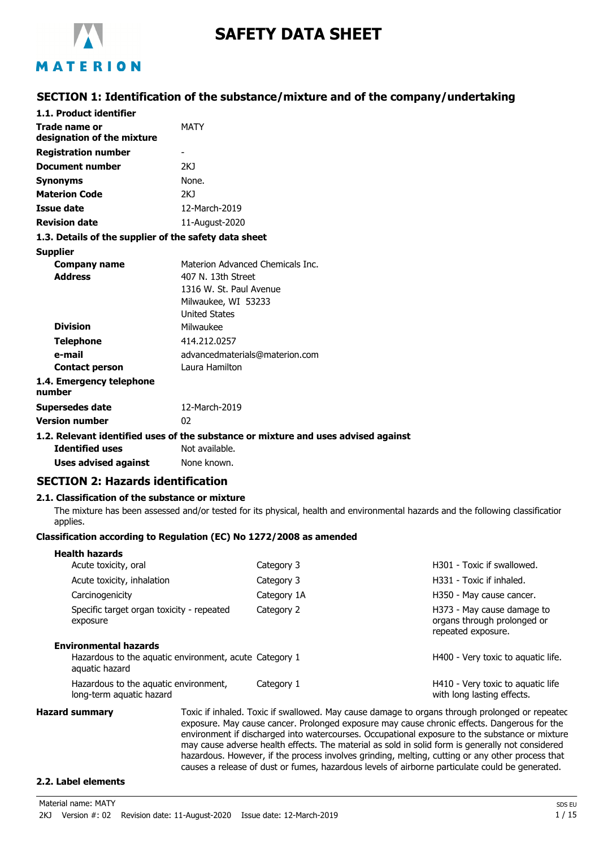

# **SAFETY DATA SHEET**

## MATERION

### **SECTION 1: Identification of the substance/mixture and of the company/undertaking**

| 1.1. Product identifier                               |                                                                                    |
|-------------------------------------------------------|------------------------------------------------------------------------------------|
| Trade name or                                         | <b>MATY</b>                                                                        |
| designation of the mixture                            |                                                                                    |
| <b>Registration number</b>                            |                                                                                    |
| <b>Document number</b>                                | 2KJ                                                                                |
| <b>Synonyms</b>                                       | None.                                                                              |
| <b>Materion Code</b>                                  | 2K1                                                                                |
| <b>Issue date</b>                                     | 12-March-2019                                                                      |
| <b>Revision date</b>                                  | 11-August-2020                                                                     |
| 1.3. Details of the supplier of the safety data sheet |                                                                                    |
| <b>Supplier</b>                                       |                                                                                    |
| <b>Company name</b>                                   | Materion Advanced Chemicals Inc.                                                   |
| <b>Address</b>                                        | 407 N. 13th Street                                                                 |
|                                                       | 1316 W. St. Paul Avenue                                                            |
|                                                       | Milwaukee, WI 53233                                                                |
|                                                       | <b>United States</b>                                                               |
| <b>Division</b>                                       | Milwaukee                                                                          |
| <b>Telephone</b>                                      | 414.212.0257                                                                       |
| e-mail                                                | advancedmaterials@materion.com                                                     |
| <b>Contact person</b>                                 | Laura Hamilton                                                                     |
| 1.4. Emergency telephone<br>number                    |                                                                                    |
| <b>Supersedes date</b>                                | 12-March-2019                                                                      |
| <b>Version number</b>                                 | 02                                                                                 |
|                                                       | 1.2. Relevant identified uses of the substance or mixture and uses advised against |
|                                                       |                                                                                    |

**Identified uses** Not available. **Uses advised against** None known.

### **SECTION 2: Hazards identification**

#### **2.1. Classification of the substance or mixture**

The mixture has been assessed and/or tested for its physical, health and environmental hazards and the following classification applies.

#### **Classification according to Regulation (EC) No 1272/2008 as amended**

| <b>Health hazards</b>        |                                                        |             |                                                                                 |
|------------------------------|--------------------------------------------------------|-------------|---------------------------------------------------------------------------------|
| Acute toxicity, oral         |                                                        | Category 3  | H301 - Toxic if swallowed.                                                      |
| Acute toxicity, inhalation   |                                                        | Category 3  | H331 - Toxic if inhaled.                                                        |
| Carcinogenicity              |                                                        | Category 1A | H350 - May cause cancer.                                                        |
| exposure                     | Specific target organ toxicity - repeated              | Category 2  | H373 - May cause damage to<br>organs through prolonged or<br>repeated exposure. |
| <b>Environmental hazards</b> |                                                        |             |                                                                                 |
| aquatic hazard               | Hazardous to the aquatic environment, acute Category 1 |             | H400 - Very toxic to aguatic life.                                              |
| long-term aquatic hazard     | Hazardous to the aquatic environment,                  | Category 1  | H410 - Very toxic to aquatic life<br>with long lasting effects.                 |

**Hazard summary** Toxic if inhaled. Toxic if swallowed. May cause damage to organs through prolonged or repeated exposure. May cause cancer. Prolonged exposure may cause chronic effects. Dangerous for the environment if discharged into watercourses. Occupational exposure to the substance or mixture may cause adverse health effects. The material as sold in solid form is generally not considered hazardous. However, if the process involves grinding, melting, cutting or any other process that causes a release of dust or fumes, hazardous levels of airborne particulate could be generated.

#### **2.2. Label elements**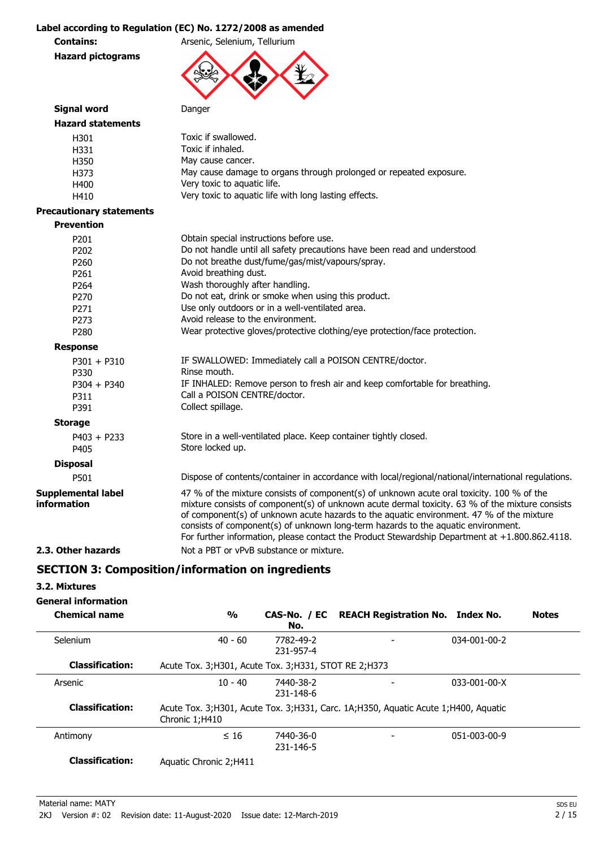#### **Label according to Regulation (EC) No. 1272/2008 as amended**

**Contains:** Arsenic, Selenium, Tellurium

**Hazard pictograms**



| Signal word                              | Danger                                                                                                                                                                                                                                                                                                                                                                                                                                                                          |
|------------------------------------------|---------------------------------------------------------------------------------------------------------------------------------------------------------------------------------------------------------------------------------------------------------------------------------------------------------------------------------------------------------------------------------------------------------------------------------------------------------------------------------|
| <b>Hazard statements</b>                 |                                                                                                                                                                                                                                                                                                                                                                                                                                                                                 |
| H301                                     | Toxic if swallowed.                                                                                                                                                                                                                                                                                                                                                                                                                                                             |
| H331                                     | Toxic if inhaled.                                                                                                                                                                                                                                                                                                                                                                                                                                                               |
| H350                                     | May cause cancer.                                                                                                                                                                                                                                                                                                                                                                                                                                                               |
| H373                                     | May cause damage to organs through prolonged or repeated exposure.                                                                                                                                                                                                                                                                                                                                                                                                              |
| H400                                     | Very toxic to aquatic life.                                                                                                                                                                                                                                                                                                                                                                                                                                                     |
| H410                                     | Very toxic to aquatic life with long lasting effects.                                                                                                                                                                                                                                                                                                                                                                                                                           |
| <b>Precautionary statements</b>          |                                                                                                                                                                                                                                                                                                                                                                                                                                                                                 |
| <b>Prevention</b>                        |                                                                                                                                                                                                                                                                                                                                                                                                                                                                                 |
| P201                                     | Obtain special instructions before use.                                                                                                                                                                                                                                                                                                                                                                                                                                         |
| P202                                     | Do not handle until all safety precautions have been read and understood.                                                                                                                                                                                                                                                                                                                                                                                                       |
| P260                                     | Do not breathe dust/fume/gas/mist/vapours/spray.                                                                                                                                                                                                                                                                                                                                                                                                                                |
| P261                                     | Avoid breathing dust.                                                                                                                                                                                                                                                                                                                                                                                                                                                           |
| P264                                     | Wash thoroughly after handling.                                                                                                                                                                                                                                                                                                                                                                                                                                                 |
| P270                                     | Do not eat, drink or smoke when using this product.                                                                                                                                                                                                                                                                                                                                                                                                                             |
| P <sub>271</sub>                         | Use only outdoors or in a well-ventilated area.                                                                                                                                                                                                                                                                                                                                                                                                                                 |
| P <sub>273</sub>                         | Avoid release to the environment.                                                                                                                                                                                                                                                                                                                                                                                                                                               |
| P280                                     | Wear protective gloves/protective clothing/eye protection/face protection.                                                                                                                                                                                                                                                                                                                                                                                                      |
| <b>Response</b>                          |                                                                                                                                                                                                                                                                                                                                                                                                                                                                                 |
| $P301 + P310$                            | IF SWALLOWED: Immediately call a POISON CENTRE/doctor.                                                                                                                                                                                                                                                                                                                                                                                                                          |
| P330                                     | Rinse mouth.                                                                                                                                                                                                                                                                                                                                                                                                                                                                    |
| $P304 + P340$                            | IF INHALED: Remove person to fresh air and keep comfortable for breathing.                                                                                                                                                                                                                                                                                                                                                                                                      |
| P311                                     | Call a POISON CENTRE/doctor.                                                                                                                                                                                                                                                                                                                                                                                                                                                    |
| P391                                     | Collect spillage.                                                                                                                                                                                                                                                                                                                                                                                                                                                               |
| <b>Storage</b>                           |                                                                                                                                                                                                                                                                                                                                                                                                                                                                                 |
| $P403 + P233$                            | Store in a well-ventilated place. Keep container tightly closed.                                                                                                                                                                                                                                                                                                                                                                                                                |
| P405                                     | Store locked up.                                                                                                                                                                                                                                                                                                                                                                                                                                                                |
| <b>Disposal</b>                          |                                                                                                                                                                                                                                                                                                                                                                                                                                                                                 |
| P501                                     | Dispose of contents/container in accordance with local/regional/national/international regulations.                                                                                                                                                                                                                                                                                                                                                                             |
| <b>Supplemental label</b><br>information | 47 % of the mixture consists of component(s) of unknown acute oral toxicity. 100 % of the<br>mixture consists of component(s) of unknown acute dermal toxicity. 63 % of the mixture consists<br>of component(s) of unknown acute hazards to the aquatic environment. 47 % of the mixture<br>consists of component(s) of unknown long-term hazards to the aquatic environment.<br>For further information, please contact the Product Stewardship Department at +1.800.862.4118. |
| 2.3. Other hazards                       | Not a PBT or vPvB substance or mixture.                                                                                                                                                                                                                                                                                                                                                                                                                                         |
|                                          |                                                                                                                                                                                                                                                                                                                                                                                                                                                                                 |

### **SECTION 3: Composition/information on ingredients**

#### **3.2. Mixtures**

**General information**

| <b>Chemical name</b>   | $\frac{1}{2}$                                           | No.                    | CAS-No. / EC REACH Registration No. Index No.                                      |                      | <b>Notes</b> |
|------------------------|---------------------------------------------------------|------------------------|------------------------------------------------------------------------------------|----------------------|--------------|
| Selenium               | $40 - 60$                                               | 7782-49-2<br>231-957-4 |                                                                                    | 034-001-00-2         |              |
| <b>Classification:</b> | Acute Tox. 3; H301, Acute Tox. 3; H331, STOT RE 2; H373 |                        |                                                                                    |                      |              |
| Arsenic                | $10 - 40$                                               | 7440-38-2<br>231-148-6 |                                                                                    | $033 - 001 - 00 - X$ |              |
| <b>Classification:</b> | Chronic 1;H410                                          |                        | Acute Tox. 3;H301, Acute Tox. 3;H331, Carc. 1A;H350, Aquatic Acute 1;H400, Aquatic |                      |              |
| Antimony               | $\leq 16$                                               | 7440-36-0<br>231-146-5 |                                                                                    | 051-003-00-9         |              |
| <b>Classification:</b> | Aquatic Chronic 2; H411                                 |                        |                                                                                    |                      |              |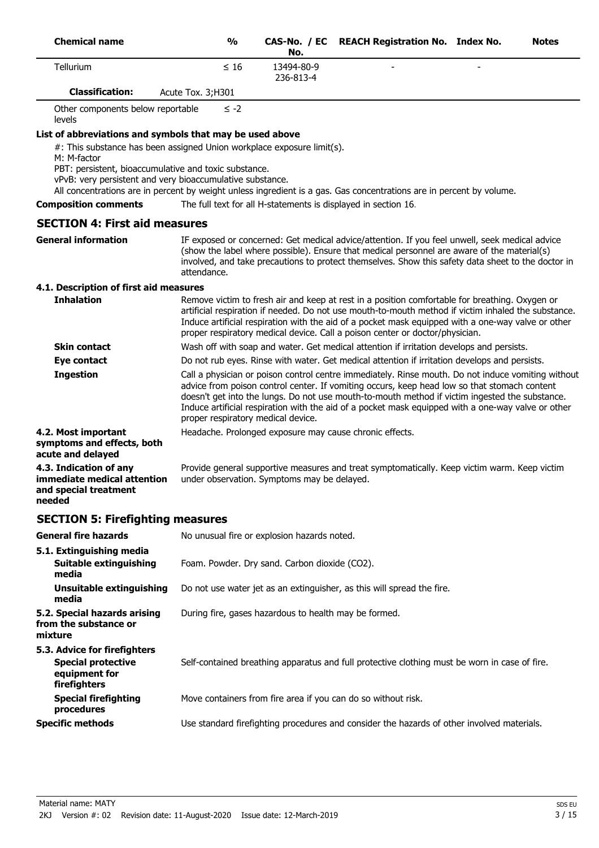| <b>Chemical name</b>   | $\frac{0}{0}$      | No.                     | CAS-No. / EC REACH Registration No. Index No. |                          | <b>Notes</b> |
|------------------------|--------------------|-------------------------|-----------------------------------------------|--------------------------|--------------|
| <b>Tellurium</b>       | $\leq 16$          | 13494-80-9<br>236-813-4 | $\overline{\phantom{a}}$                      | $\overline{\phantom{0}}$ |              |
| <b>Classification:</b> | Acute Tox. 3; H301 |                         |                                               |                          |              |

Other components below reportable levels ≤ -2

#### **List of abbreviations and symbols that may be used above**

#: This substance has been assigned Union workplace exposure limit(s).

M: M-factor

PBT: persistent, bioaccumulative and toxic substance.

vPvB: very persistent and very bioaccumulative substance.

All concentrations are in percent by weight unless ingredient is a gas. Gas concentrations are in percent by volume.

**Composition comments** The full text for all H-statements is displayed in section 16.

# **SECTION 4: First aid measures**

IF exposed or concerned: Get medical advice/attention. If you feel unwell, seek medical advice (show the label where possible). Ensure that medical personnel are aware of the material(s) involved, and take precautions to protect themselves. Show this safety data sheet to the doctor in attendance. **General information**

#### **4.1. Description of first aid measures**

| <b>Inhalation</b>                                                              | Remove victim to fresh air and keep at rest in a position comfortable for breathing. Oxygen or<br>artificial respiration if needed. Do not use mouth-to-mouth method if victim inhaled the substance.<br>Induce artificial respiration with the aid of a pocket mask equipped with a one-way valve or other<br>proper respiratory medical device. Call a poison center or doctor/physician.                                                      |
|--------------------------------------------------------------------------------|--------------------------------------------------------------------------------------------------------------------------------------------------------------------------------------------------------------------------------------------------------------------------------------------------------------------------------------------------------------------------------------------------------------------------------------------------|
| <b>Skin contact</b>                                                            | Wash off with soap and water. Get medical attention if irritation develops and persists.                                                                                                                                                                                                                                                                                                                                                         |
| Eye contact                                                                    | Do not rub eyes. Rinse with water. Get medical attention if irritation develops and persists.                                                                                                                                                                                                                                                                                                                                                    |
| <b>Ingestion</b>                                                               | Call a physician or poison control centre immediately. Rinse mouth. Do not induce vomiting without<br>advice from poison control center. If vomiting occurs, keep head low so that stomach content<br>doesn't get into the lungs. Do not use mouth-to-mouth method if victim ingested the substance.<br>Induce artificial respiration with the aid of a pocket mask equipped with a one-way valve or other<br>proper respiratory medical device. |
| 4.2. Most important<br>symptoms and effects, both<br>acute and delayed         | Headache. Prolonged exposure may cause chronic effects.                                                                                                                                                                                                                                                                                                                                                                                          |
| 4.3. Indication of any<br>immediate medical attention<br>and special treatment | Provide general supportive measures and treat symptomatically. Keep victim warm. Keep victim<br>under observation. Symptoms may be delayed.                                                                                                                                                                                                                                                                                                      |

### **SECTION 5: Firefighting measures**

**needed**

| <b>General fire hazards</b>                                                                | No unusual fire or explosion hazards noted.                                                   |
|--------------------------------------------------------------------------------------------|-----------------------------------------------------------------------------------------------|
| 5.1. Extinguishing media<br>Suitable extinguishing<br>media                                | Foam. Powder. Dry sand. Carbon dioxide (CO2).                                                 |
| Unsuitable extinguishing<br>media                                                          | Do not use water jet as an extinguisher, as this will spread the fire.                        |
| 5.2. Special hazards arising<br>from the substance or<br>mixture                           | During fire, gases hazardous to health may be formed.                                         |
| 5.3. Advice for firefighters<br><b>Special protective</b><br>equipment for<br>firefighters | Self-contained breathing apparatus and full protective clothing must be worn in case of fire. |
| <b>Special firefighting</b><br>procedures                                                  | Move containers from fire area if you can do so without risk.                                 |
| <b>Specific methods</b>                                                                    | Use standard firefighting procedures and consider the hazards of other involved materials.    |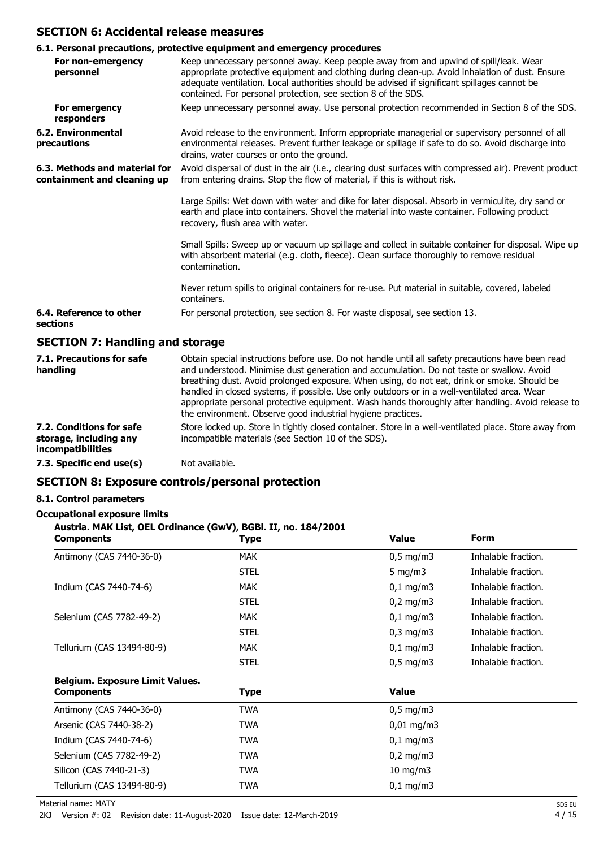### **SECTION 6: Accidental release measures**

|                                                              | 6.1. Personal precautions, protective equipment and emergency procedures                                                                                                                                                                                                                                                                                  |
|--------------------------------------------------------------|-----------------------------------------------------------------------------------------------------------------------------------------------------------------------------------------------------------------------------------------------------------------------------------------------------------------------------------------------------------|
| For non-emergency<br>personnel                               | Keep unnecessary personnel away. Keep people away from and upwind of spill/leak. Wear<br>appropriate protective equipment and clothing during clean-up. Avoid inhalation of dust. Ensure<br>adequate ventilation. Local authorities should be advised if significant spillages cannot be<br>contained. For personal protection, see section 8 of the SDS. |
| For emergency<br>responders                                  | Keep unnecessary personnel away. Use personal protection recommended in Section 8 of the SDS.                                                                                                                                                                                                                                                             |
| 6.2. Environmental<br>precautions                            | Avoid release to the environment. Inform appropriate managerial or supervisory personnel of all<br>environmental releases. Prevent further leakage or spillage if safe to do so. Avoid discharge into<br>drains, water courses or onto the ground.                                                                                                        |
| 6.3. Methods and material for<br>containment and cleaning up | Avoid dispersal of dust in the air (i.e., clearing dust surfaces with compressed air). Prevent product<br>from entering drains. Stop the flow of material, if this is without risk.                                                                                                                                                                       |
|                                                              | Large Spills: Wet down with water and dike for later disposal. Absorb in vermiculite, dry sand or<br>earth and place into containers. Shovel the material into waste container. Following product<br>recovery, flush area with water.                                                                                                                     |
|                                                              | Small Spills: Sweep up or vacuum up spillage and collect in suitable container for disposal. Wipe up<br>with absorbent material (e.g. cloth, fleece). Clean surface thoroughly to remove residual<br>contamination.                                                                                                                                       |
|                                                              | Never return spills to original containers for re-use. Put material in suitable, covered, labeled<br>containers.                                                                                                                                                                                                                                          |
| 6.4. Reference to other<br>sections                          | For personal protection, see section 8. For waste disposal, see section 13.                                                                                                                                                                                                                                                                               |
| <b>SECTION 7: Handling and storage</b>                       |                                                                                                                                                                                                                                                                                                                                                           |
| 7.1. Precautions for safe<br>handling                        | Obtain special instructions before use. Do not handle until all safety precautions have been read<br>and understood. Minimise dust generation and accumulation. Do not taste or swallow. Avoid<br>breathing dust. Avoid prolonged exposure. When using, do not eat, drink or smoke. Should be                                                             |

|                                                    | handled in closed systems, if possible. Use only outdoors or in a well-ventilated area. Wear<br>appropriate personal protective equipment. Wash hands thoroughly after handling. Avoid release to |
|----------------------------------------------------|---------------------------------------------------------------------------------------------------------------------------------------------------------------------------------------------------|
|                                                    | the environment. Observe good industrial hygiene practices.                                                                                                                                       |
| 7.2. Conditions for safe<br>storage, including any | Store locked up. Store in tightly closed container. Store in a well-ventilated place. Store away from<br>incompatible materials (see Section 10 of the SDS).                                      |

#### **7.3. Specific end use(s)** Not available.

### **SECTION 8: Exposure controls/personal protection**

#### **8.1. Control parameters**

**incompatibilities**

#### **Occupational exposure limits**

#### **Austria. MAK List, OEL Ordinance (GwV), BGBl. II, no. 184/2001**

| <b>Components</b>                      | Type        | <b>Value</b>         | <b>Form</b>         |
|----------------------------------------|-------------|----------------------|---------------------|
| Antimony (CAS 7440-36-0)               | <b>MAK</b>  | $0,5$ mg/m3          | Inhalable fraction. |
|                                        | <b>STEL</b> | 5 mg/m $3$           | Inhalable fraction. |
| Indium (CAS 7440-74-6)                 | <b>MAK</b>  | $0,1$ mg/m3          | Inhalable fraction. |
|                                        | <b>STEL</b> | $0,2 \text{ mg/m}$ 3 | Inhalable fraction. |
| Selenium (CAS 7782-49-2)               | <b>MAK</b>  | $0,1 \, \text{mg/m}$ | Inhalable fraction. |
|                                        | <b>STEL</b> | $0,3$ mg/m $3$       | Inhalable fraction. |
| Tellurium (CAS 13494-80-9)             | <b>MAK</b>  | $0,1$ mg/m3          | Inhalable fraction. |
|                                        | <b>STEL</b> | $0,5$ mg/m3          | Inhalable fraction. |
| <b>Belgium. Exposure Limit Values.</b> |             |                      |                     |
| <b>Components</b>                      | Type        | <b>Value</b>         |                     |
| Antimony (CAS 7440-36-0)               | TWA         | $0,5 \text{ mg/m}$   |                     |
| Arsenic (CAS 7440-38-2)                | <b>TWA</b>  | $0,01$ mg/m3         |                     |
| Indium (CAS 7440-74-6)                 | TWA         | $0,1$ mg/m3          |                     |
| Selenium (CAS 7782-49-2)               | TWA         | $0,2$ mg/m3          |                     |
| Silicon (CAS 7440-21-3)                | TWA         | $10 \text{ mg/m}$    |                     |
| Tellurium (CAS 13494-80-9)             | TWA         | $0,1$ mg/m3          |                     |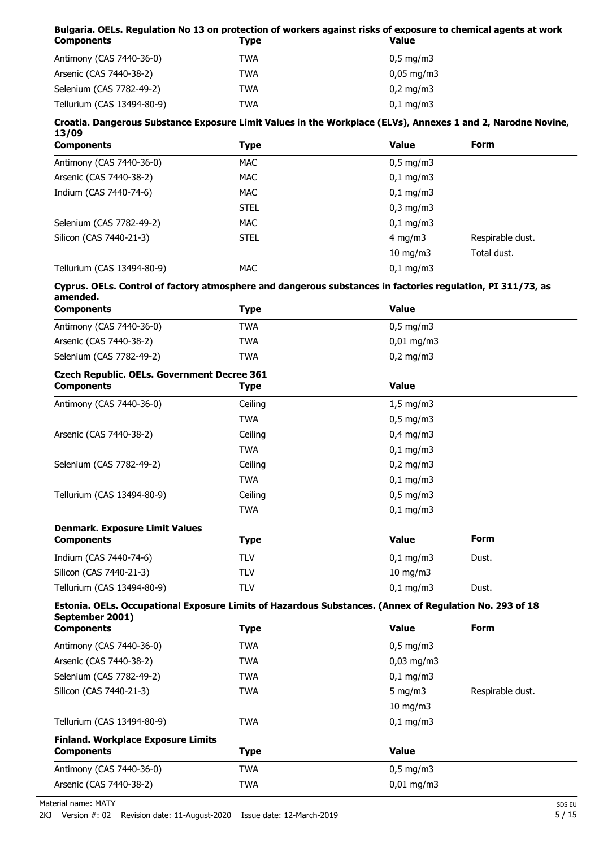#### **Bulgaria. OELs. Regulation No 13 on protection of workers against risks of exposure to chemical agents at work Components**

| <b>COMPONENTS</b>          | . INC      | <b>v</b> aius            |  |
|----------------------------|------------|--------------------------|--|
| Antimony (CAS 7440-36-0)   | <b>TWA</b> | $0,5 \,\mathrm{mg/m3}$   |  |
| Arsenic (CAS 7440-38-2)    | TWA        | $0.05 \,\mathrm{mq/m}$ 3 |  |
| Selenium (CAS 7782-49-2)   | TWA        | $0,2 \text{ mg/m}$       |  |
| Tellurium (CAS 13494-80-9) | TWA        | $0,1 \, \text{mg/m}$     |  |

#### **Croatia. Dangerous Substance Exposure Limit Values in the Workplace (ELVs), Annexes 1 and 2, Narodne Novine, 13/09**

| <b>Components</b>          | Type        | <b>Value</b>         | <b>Form</b>      |
|----------------------------|-------------|----------------------|------------------|
| Antimony (CAS 7440-36-0)   | <b>MAC</b>  | $0,5 \, \text{mg/m}$ |                  |
| Arsenic (CAS 7440-38-2)    | <b>MAC</b>  | $0,1$ mg/m3          |                  |
| Indium (CAS 7440-74-6)     | <b>MAC</b>  | $0,1$ mg/m3          |                  |
|                            | <b>STEL</b> | $0,3$ mg/m $3$       |                  |
| Selenium (CAS 7782-49-2)   | <b>MAC</b>  | $0,1 \, \text{mg/m}$ |                  |
| Silicon (CAS 7440-21-3)    | <b>STEL</b> | 4 mg/m $3$           | Respirable dust. |
|                            |             | $10 \text{ mg/m}$    | Total dust.      |
| Tellurium (CAS 13494-80-9) | <b>MAC</b>  | $0,1$ mg/m3          |                  |

#### **Cyprus. OELs. Control of factory atmosphere and dangerous substances in factories regulation, PI 311/73, as amended.**

| <b>Components</b>                                                                                                          | <b>Type</b> | <b>Value</b> |                  |
|----------------------------------------------------------------------------------------------------------------------------|-------------|--------------|------------------|
| Antimony (CAS 7440-36-0)                                                                                                   | <b>TWA</b>  | $0,5$ mg/m3  |                  |
| Arsenic (CAS 7440-38-2)                                                                                                    | <b>TWA</b>  | $0,01$ mg/m3 |                  |
| Selenium (CAS 7782-49-2)                                                                                                   | <b>TWA</b>  | $0,2$ mg/m3  |                  |
| <b>Czech Republic. OELs. Government Decree 361</b><br><b>Components</b>                                                    | <b>Type</b> | <b>Value</b> |                  |
| Antimony (CAS 7440-36-0)                                                                                                   | Ceiling     | $1,5$ mg/m3  |                  |
|                                                                                                                            | <b>TWA</b>  | $0,5$ mg/m3  |                  |
| Arsenic (CAS 7440-38-2)                                                                                                    | Ceiling     | $0,4$ mg/m3  |                  |
|                                                                                                                            | <b>TWA</b>  | $0,1$ mg/m3  |                  |
| Selenium (CAS 7782-49-2)                                                                                                   | Ceiling     | $0,2$ mg/m3  |                  |
|                                                                                                                            | <b>TWA</b>  | $0,1$ mg/m3  |                  |
| Ceiling<br>Tellurium (CAS 13494-80-9)                                                                                      |             | $0,5$ mg/m3  |                  |
|                                                                                                                            | <b>TWA</b>  | $0,1$ mg/m3  |                  |
| <b>Denmark. Exposure Limit Values</b><br><b>Components</b>                                                                 | <b>Type</b> | <b>Value</b> | <b>Form</b>      |
| Indium (CAS 7440-74-6)                                                                                                     | <b>TLV</b>  | $0,1$ mg/m3  | Dust.            |
| Silicon (CAS 7440-21-3)                                                                                                    | <b>TLV</b>  | 10 mg/m3     |                  |
| Tellurium (CAS 13494-80-9)                                                                                                 | <b>TLV</b>  | $0,1$ mg/m3  | Dust.            |
| Estonia. OELs. Occupational Exposure Limits of Hazardous Substances. (Annex of Regulation No. 293 of 18<br>September 2001) |             |              |                  |
| <b>Components</b>                                                                                                          | <b>Type</b> | <b>Value</b> | <b>Form</b>      |
| Antimony (CAS 7440-36-0)                                                                                                   | <b>TWA</b>  | $0,5$ mg/m3  |                  |
| Arsenic (CAS 7440-38-2)                                                                                                    | <b>TWA</b>  | $0,03$ mg/m3 |                  |
| Selenium (CAS 7782-49-2)                                                                                                   | <b>TWA</b>  | $0,1$ mg/m3  |                  |
| Silicon (CAS 7440-21-3)                                                                                                    | <b>TWA</b>  | 5 mg/m $3$   | Respirable dust. |
|                                                                                                                            |             | 10 mg/m3     |                  |
| Tellurium (CAS 13494-80-9)                                                                                                 | <b>TWA</b>  | $0,1$ mg/m3  |                  |
| <b>Finland. Workplace Exposure Limits</b><br><b>Components</b>                                                             | <b>Type</b> | <b>Value</b> |                  |
| Antimony (CAS 7440-36-0)                                                                                                   | <b>TWA</b>  | $0,5$ mg/m3  |                  |
| Arsenic (CAS 7440-38-2)                                                                                                    | <b>TWA</b>  | $0,01$ mg/m3 |                  |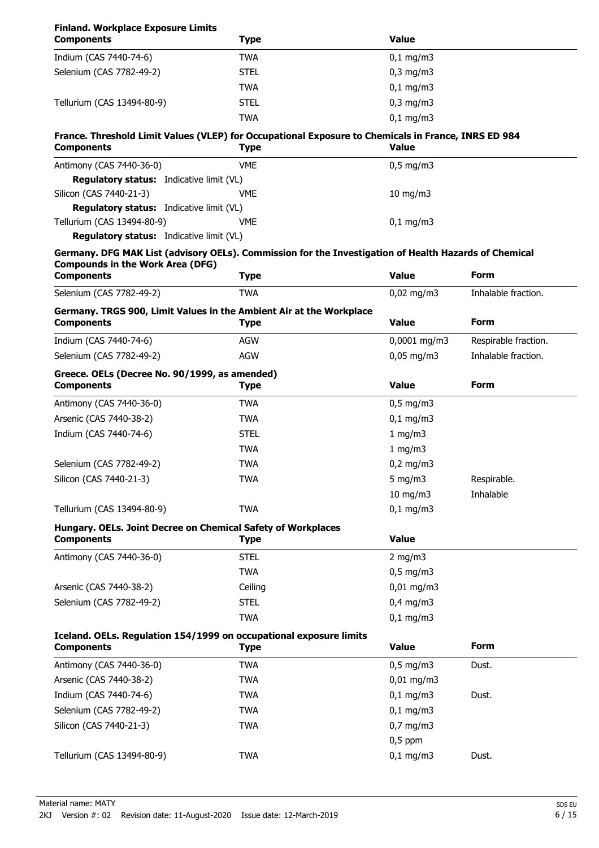### **Finland. Workplace Exposure Limits**

| <b>Components</b>                                                                                                                                | <b>Type</b> | <b>Value</b>   |                      |
|--------------------------------------------------------------------------------------------------------------------------------------------------|-------------|----------------|----------------------|
| Indium (CAS 7440-74-6)                                                                                                                           | <b>TWA</b>  | $0,1$ mg/m3    |                      |
| Selenium (CAS 7782-49-2)                                                                                                                         | <b>STEL</b> | $0,3$ mg/m $3$ |                      |
|                                                                                                                                                  | <b>TWA</b>  | $0,1$ mg/m3    |                      |
| Tellurium (CAS 13494-80-9)                                                                                                                       | <b>STEL</b> | $0,3$ mg/m $3$ |                      |
|                                                                                                                                                  | <b>TWA</b>  | $0,1$ mg/m3    |                      |
| France. Threshold Limit Values (VLEP) for Occupational Exposure to Chemicals in France, INRS ED 984<br><b>Components</b>                         | <b>Type</b> | <b>Value</b>   |                      |
|                                                                                                                                                  |             |                |                      |
| Antimony (CAS 7440-36-0)                                                                                                                         | <b>VME</b>  | $0,5$ mg/m3    |                      |
| <b>Regulatory status:</b> Indicative limit (VL)<br>Silicon (CAS 7440-21-3)                                                                       | <b>VME</b>  | $10$ mg/m $3$  |                      |
| <b>Regulatory status:</b> Indicative limit (VL)                                                                                                  |             |                |                      |
| Tellurium (CAS 13494-80-9)                                                                                                                       | <b>VME</b>  | $0,1$ mg/m3    |                      |
| <b>Regulatory status:</b> Indicative limit (VL)                                                                                                  |             |                |                      |
| Germany. DFG MAK List (advisory OELs). Commission for the Investigation of Health Hazards of Chemical<br><b>Compounds in the Work Area (DFG)</b> |             |                |                      |
| <b>Components</b>                                                                                                                                | <b>Type</b> | <b>Value</b>   | Form                 |
| Selenium (CAS 7782-49-2)                                                                                                                         | <b>TWA</b>  | $0,02$ mg/m3   | Inhalable fraction.  |
| Germany. TRGS 900, Limit Values in the Ambient Air at the Workplace<br><b>Components</b>                                                         | Type        | <b>Value</b>   | <b>Form</b>          |
| Indium (CAS 7440-74-6)                                                                                                                           | <b>AGW</b>  | $0,0001$ mg/m3 | Respirable fraction. |
| Selenium (CAS 7782-49-2)                                                                                                                         | <b>AGW</b>  | $0,05$ mg/m3   | Inhalable fraction.  |
| Greece. OELs (Decree No. 90/1999, as amended)<br><b>Components</b>                                                                               | <b>Type</b> | <b>Value</b>   | Form                 |
| Antimony (CAS 7440-36-0)                                                                                                                         | <b>TWA</b>  | $0,5$ mg/m3    |                      |
| Arsenic (CAS 7440-38-2)                                                                                                                          | <b>TWA</b>  | $0,1$ mg/m3    |                      |
| Indium (CAS 7440-74-6)                                                                                                                           | <b>STEL</b> | 1 mg/m3        |                      |
|                                                                                                                                                  | <b>TWA</b>  | 1 mg/m3        |                      |
| Selenium (CAS 7782-49-2)                                                                                                                         | <b>TWA</b>  | $0,2$ mg/m3    |                      |
| Silicon (CAS 7440-21-3)                                                                                                                          | <b>TWA</b>  | 5 mg/m $3$     | Respirable.          |
|                                                                                                                                                  |             | $10$ mg/m $3$  | Inhalable            |
| Tellurium (CAS 13494-80-9)                                                                                                                       | <b>TWA</b>  | $0,1$ mg/m3    |                      |
| Hungary. OELs. Joint Decree on Chemical Safety of Workplaces                                                                                     |             |                |                      |
| <b>Components</b>                                                                                                                                | Type        | <b>Value</b>   |                      |
| Antimony (CAS 7440-36-0)                                                                                                                         | <b>STEL</b> | $2$ mg/m $3$   |                      |
|                                                                                                                                                  | <b>TWA</b>  | $0,5$ mg/m3    |                      |
| Arsenic (CAS 7440-38-2)                                                                                                                          | Ceiling     | $0,01$ mg/m3   |                      |
| Selenium (CAS 7782-49-2)                                                                                                                         | <b>STEL</b> | $0,4$ mg/m3    |                      |
|                                                                                                                                                  | <b>TWA</b>  | $0,1$ mg/m3    |                      |
| Iceland. OELs. Regulation 154/1999 on occupational exposure limits                                                                               |             |                |                      |
| <b>Components</b>                                                                                                                                | <b>Type</b> | <b>Value</b>   | <b>Form</b>          |
| Antimony (CAS 7440-36-0)                                                                                                                         | <b>TWA</b>  | $0,5$ mg/m3    | Dust.                |
| Arsenic (CAS 7440-38-2)                                                                                                                          | <b>TWA</b>  | $0,01$ mg/m3   |                      |
| Indium (CAS 7440-74-6)                                                                                                                           | <b>TWA</b>  | $0,1$ mg/m3    | Dust.                |
| Selenium (CAS 7782-49-2)                                                                                                                         | <b>TWA</b>  | $0,1$ mg/m3    |                      |
| Silicon (CAS 7440-21-3)                                                                                                                          | <b>TWA</b>  | $0,7$ mg/m $3$ |                      |
|                                                                                                                                                  |             | $0,5$ ppm      |                      |
| Tellurium (CAS 13494-80-9)                                                                                                                       | <b>TWA</b>  | $0,1$ mg/m3    | Dust.                |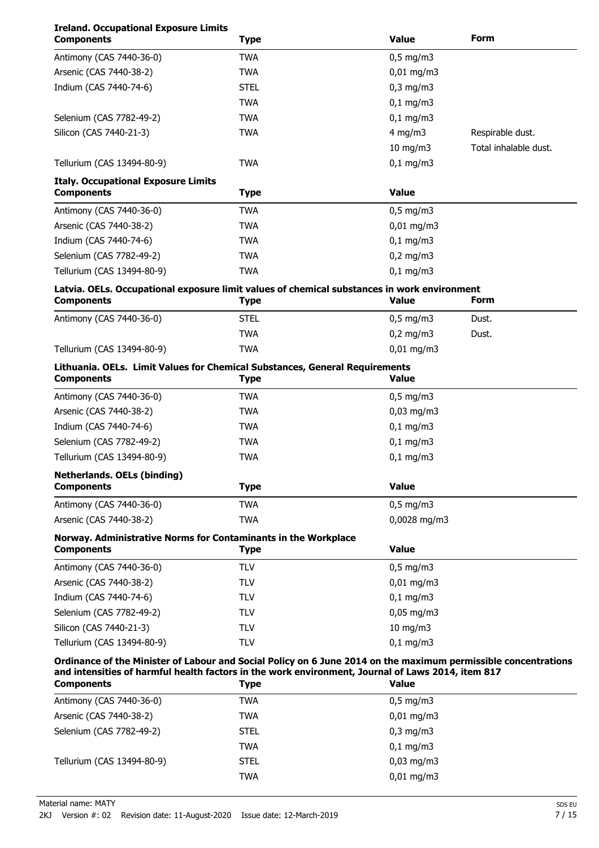### **Ireland. Occupational Exposure Limits**

| <b>Components</b>                                                                                                                                                                                                   | <b>Type</b> | <b>Value</b><br><b>Form</b> |                       |
|---------------------------------------------------------------------------------------------------------------------------------------------------------------------------------------------------------------------|-------------|-----------------------------|-----------------------|
| Antimony (CAS 7440-36-0)                                                                                                                                                                                            | <b>TWA</b>  | $0,5$ mg/m3                 |                       |
| Arsenic (CAS 7440-38-2)                                                                                                                                                                                             | <b>TWA</b>  | $0,01$ mg/m3                |                       |
| Indium (CAS 7440-74-6)                                                                                                                                                                                              | <b>STEL</b> | $0,3$ mg/m $3$              |                       |
|                                                                                                                                                                                                                     | <b>TWA</b>  | $0,1$ mg/m3                 |                       |
| Selenium (CAS 7782-49-2)                                                                                                                                                                                            | <b>TWA</b>  | $0,1$ mg/m3                 |                       |
| Silicon (CAS 7440-21-3)                                                                                                                                                                                             | <b>TWA</b>  | $4$ mg/m $3$                | Respirable dust.      |
|                                                                                                                                                                                                                     |             | $10$ mg/m $3$               | Total inhalable dust. |
| Tellurium (CAS 13494-80-9)                                                                                                                                                                                          | <b>TWA</b>  | $0,1$ mg/m $3$              |                       |
| <b>Italy. Occupational Exposure Limits</b>                                                                                                                                                                          |             | <b>Value</b>                |                       |
| <b>Components</b>                                                                                                                                                                                                   | <b>Type</b> |                             |                       |
| Antimony (CAS 7440-36-0)                                                                                                                                                                                            | <b>TWA</b>  | $0,5$ mg/m3                 |                       |
| Arsenic (CAS 7440-38-2)                                                                                                                                                                                             | <b>TWA</b>  | $0,01$ mg/m3                |                       |
| Indium (CAS 7440-74-6)                                                                                                                                                                                              | <b>TWA</b>  | $0,1$ mg/m3                 |                       |
| Selenium (CAS 7782-49-2)                                                                                                                                                                                            | <b>TWA</b>  | $0,2$ mg/m3                 |                       |
| Tellurium (CAS 13494-80-9)                                                                                                                                                                                          | <b>TWA</b>  | $0,1$ mg/m3                 |                       |
| Latvia. OELs. Occupational exposure limit values of chemical substances in work environment<br><b>Components</b>                                                                                                    | <b>Type</b> | <b>Value</b>                | <b>Form</b>           |
| Antimony (CAS 7440-36-0)                                                                                                                                                                                            | <b>STEL</b> | $0,5$ mg/m3                 | Dust.                 |
|                                                                                                                                                                                                                     | <b>TWA</b>  | $0,2$ mg/m3                 | Dust.                 |
| Tellurium (CAS 13494-80-9)                                                                                                                                                                                          | <b>TWA</b>  | $0,01$ mg/m3                |                       |
| Lithuania. OELs. Limit Values for Chemical Substances, General Requirements                                                                                                                                         |             |                             |                       |
| <b>Components</b>                                                                                                                                                                                                   | <b>Type</b> | <b>Value</b>                |                       |
| Antimony (CAS 7440-36-0)                                                                                                                                                                                            | <b>TWA</b>  | $0,5$ mg/m3                 |                       |
| Arsenic (CAS 7440-38-2)                                                                                                                                                                                             | <b>TWA</b>  | $0,03$ mg/m3                |                       |
| Indium (CAS 7440-74-6)                                                                                                                                                                                              | <b>TWA</b>  | $0,1$ mg/m3                 |                       |
| Selenium (CAS 7782-49-2)                                                                                                                                                                                            | <b>TWA</b>  | $0,1$ mg/m3                 |                       |
| Tellurium (CAS 13494-80-9)                                                                                                                                                                                          | <b>TWA</b>  | $0,1$ mg/m3                 |                       |
| <b>Netherlands. OELs (binding)</b><br><b>Components</b>                                                                                                                                                             | <b>Type</b> | <b>Value</b>                |                       |
| Antimony (CAS 7440-36-0)                                                                                                                                                                                            | <b>TWA</b>  | $0,5$ mg/m3                 |                       |
| Arsenic (CAS 7440-38-2)                                                                                                                                                                                             | <b>TWA</b>  | 0,0028 mg/m3                |                       |
| Norway. Administrative Norms for Contaminants in the Workplace                                                                                                                                                      |             |                             |                       |
| <b>Components</b>                                                                                                                                                                                                   | <b>Type</b> | <b>Value</b>                |                       |
| Antimony (CAS 7440-36-0)                                                                                                                                                                                            | <b>TLV</b>  | $0,5$ mg/m3                 |                       |
| Arsenic (CAS 7440-38-2)                                                                                                                                                                                             | <b>TLV</b>  | $0,01$ mg/m3                |                       |
| Indium (CAS 7440-74-6)                                                                                                                                                                                              | <b>TLV</b>  | $0,1$ mg/m3                 |                       |
| Selenium (CAS 7782-49-2)                                                                                                                                                                                            | <b>TLV</b>  | $0,05$ mg/m3                |                       |
| Silicon (CAS 7440-21-3)                                                                                                                                                                                             | <b>TLV</b>  | $10$ mg/m $3$               |                       |
| Tellurium (CAS 13494-80-9)                                                                                                                                                                                          | <b>TLV</b>  | $0,1$ mg/m3                 |                       |
| Ordinance of the Minister of Labour and Social Policy on 6 June 2014 on the maximum permissible concentrations<br>and intensities of harmful health factors in the work environment, Journal of Laws 2014, item 817 |             |                             |                       |
| <b>Components</b>                                                                                                                                                                                                   | <b>Type</b> | <b>Value</b>                |                       |
| Antimony (CAS 7440-36-0)                                                                                                                                                                                            | <b>TWA</b>  | $0,5$ mg/m3                 |                       |
| Arsenic (CAS 7440-38-2)                                                                                                                                                                                             | <b>TWA</b>  | $0,01$ mg/m3                |                       |
| Selenium (CAS 7782-49-2)                                                                                                                                                                                            | <b>STEL</b> | $0,3$ mg/m $3$              |                       |
|                                                                                                                                                                                                                     | <b>TWA</b>  | $0,1$ mg/m3                 |                       |
| Tellurium (CAS 13494-80-9)                                                                                                                                                                                          | <b>STEL</b> | $0,03$ mg/m3                |                       |
|                                                                                                                                                                                                                     | <b>TWA</b>  | 0,01 mg/m3                  |                       |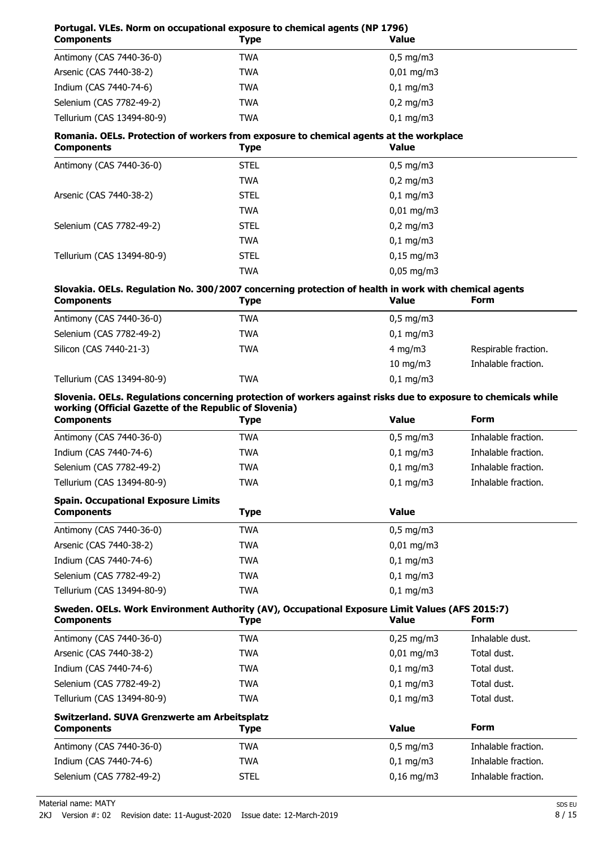| Portugal. VLEs. Norm on occupational exposure to chemical agents (NP 1796)<br><b>Components</b>                                                                                              | <b>Type</b> | <b>Value</b>   |                      |  |
|----------------------------------------------------------------------------------------------------------------------------------------------------------------------------------------------|-------------|----------------|----------------------|--|
| Antimony (CAS 7440-36-0)                                                                                                                                                                     | <b>TWA</b>  | $0,5$ mg/m3    |                      |  |
| Arsenic (CAS 7440-38-2)                                                                                                                                                                      | <b>TWA</b>  | $0,01$ mg/m3   |                      |  |
| Indium (CAS 7440-74-6)                                                                                                                                                                       | <b>TWA</b>  | $0,1$ mg/m3    |                      |  |
| Selenium (CAS 7782-49-2)                                                                                                                                                                     | <b>TWA</b>  | $0,2$ mg/m3    |                      |  |
| Tellurium (CAS 13494-80-9)                                                                                                                                                                   | <b>TWA</b>  | $0,1$ mg/m3    |                      |  |
| Romania. OELs. Protection of workers from exposure to chemical agents at the workplace<br><b>Components</b>                                                                                  | <b>Type</b> | <b>Value</b>   |                      |  |
| Antimony (CAS 7440-36-0)                                                                                                                                                                     | <b>STEL</b> | $0,5$ mg/m3    |                      |  |
|                                                                                                                                                                                              | <b>TWA</b>  | $0,2$ mg/m3    |                      |  |
| Arsenic (CAS 7440-38-2)                                                                                                                                                                      | <b>STEL</b> | $0,1$ mg/m3    |                      |  |
|                                                                                                                                                                                              | <b>TWA</b>  | $0,01$ mg/m3   |                      |  |
| Selenium (CAS 7782-49-2)                                                                                                                                                                     | <b>STEL</b> | $0,2$ mg/m3    |                      |  |
|                                                                                                                                                                                              | <b>TWA</b>  | $0,1$ mg/m3    |                      |  |
| Tellurium (CAS 13494-80-9)                                                                                                                                                                   | <b>STEL</b> | $0,15$ mg/m3   |                      |  |
|                                                                                                                                                                                              | <b>TWA</b>  | $0,05$ mg/m3   |                      |  |
| Slovakia. OELs. Regulation No. 300/2007 concerning protection of health in work with chemical agents<br><b>Components</b>                                                                    | <b>Type</b> | <b>Value</b>   | Form                 |  |
| Antimony (CAS 7440-36-0)                                                                                                                                                                     | <b>TWA</b>  | $0,5$ mg/m3    |                      |  |
| Selenium (CAS 7782-49-2)                                                                                                                                                                     | <b>TWA</b>  | $0,1$ mg/m3    |                      |  |
| Silicon (CAS 7440-21-3)                                                                                                                                                                      | <b>TWA</b>  | 4 mg/m $3$     | Respirable fraction. |  |
|                                                                                                                                                                                              |             | $10$ mg/m $3$  | Inhalable fraction.  |  |
| Tellurium (CAS 13494-80-9)                                                                                                                                                                   | <b>TWA</b>  | $0,1$ mg/m3    |                      |  |
| Slovenia. OELs. Regulations concerning protection of workers against risks due to exposure to chemicals while<br>working (Official Gazette of the Republic of Slovenia)<br><b>Components</b> | <b>Type</b> | <b>Value</b>   | Form                 |  |
| Antimony (CAS 7440-36-0)                                                                                                                                                                     | <b>TWA</b>  | $0,5$ mg/m3    | Inhalable fraction.  |  |
| Indium (CAS 7440-74-6)                                                                                                                                                                       | <b>TWA</b>  | $0,1$ mg/m3    | Inhalable fraction.  |  |
| Selenium (CAS 7782-49-2)                                                                                                                                                                     | <b>TWA</b>  | $0,1$ mg/m3    | Inhalable fraction.  |  |
| Tellurium (CAS 13494-80-9)                                                                                                                                                                   | <b>TWA</b>  | $0,1$ mg/m3    | Inhalable fraction.  |  |
| <b>Spain. Occupational Exposure Limits</b><br><b>Components</b>                                                                                                                              | <b>Type</b> | <b>Value</b>   |                      |  |
| Antimony (CAS 7440-36-0)                                                                                                                                                                     | <b>TWA</b>  | $0,5$ mg/m3    |                      |  |
| Arsenic (CAS 7440-38-2)                                                                                                                                                                      | <b>TWA</b>  | $0,01$ mg/m3   |                      |  |
| Indium (CAS 7440-74-6)                                                                                                                                                                       | <b>TWA</b>  | $0,1$ mg/m $3$ |                      |  |
| Selenium (CAS 7782-49-2)                                                                                                                                                                     | <b>TWA</b>  | $0,1$ mg/m3    |                      |  |
| Tellurium (CAS 13494-80-9)                                                                                                                                                                   | <b>TWA</b>  | $0,1$ mg/m3    |                      |  |
| Sweden. OELs. Work Environment Authority (AV), Occupational Exposure Limit Values (AFS 2015:7)<br><b>Components</b>                                                                          | <b>Type</b> | <b>Value</b>   | <b>Form</b>          |  |
| Antimony (CAS 7440-36-0)                                                                                                                                                                     | <b>TWA</b>  | $0,25$ mg/m3   | Inhalable dust.      |  |
| Arsenic (CAS 7440-38-2)                                                                                                                                                                      | <b>TWA</b>  | $0,01$ mg/m3   | Total dust.          |  |
| Indium (CAS 7440-74-6)                                                                                                                                                                       | <b>TWA</b>  | $0,1$ mg/m3    | Total dust.          |  |
| Selenium (CAS 7782-49-2)                                                                                                                                                                     | <b>TWA</b>  | $0,1$ mg/m3    | Total dust.          |  |
| Tellurium (CAS 13494-80-9)                                                                                                                                                                   | <b>TWA</b>  | $0,1$ mg/m3    | Total dust.          |  |
| Switzerland. SUVA Grenzwerte am Arbeitsplatz                                                                                                                                                 |             |                |                      |  |
| <b>Components</b>                                                                                                                                                                            | <b>Type</b> | <b>Value</b>   | Form                 |  |
| Antimony (CAS 7440-36-0)                                                                                                                                                                     | <b>TWA</b>  | $0,5$ mg/m3    | Inhalable fraction.  |  |
| Indium (CAS 7440-74-6)                                                                                                                                                                       | <b>TWA</b>  | $0,1$ mg/m3    | Inhalable fraction.  |  |
| Selenium (CAS 7782-49-2)                                                                                                                                                                     | <b>STEL</b> | $0,16$ mg/m3   | Inhalable fraction.  |  |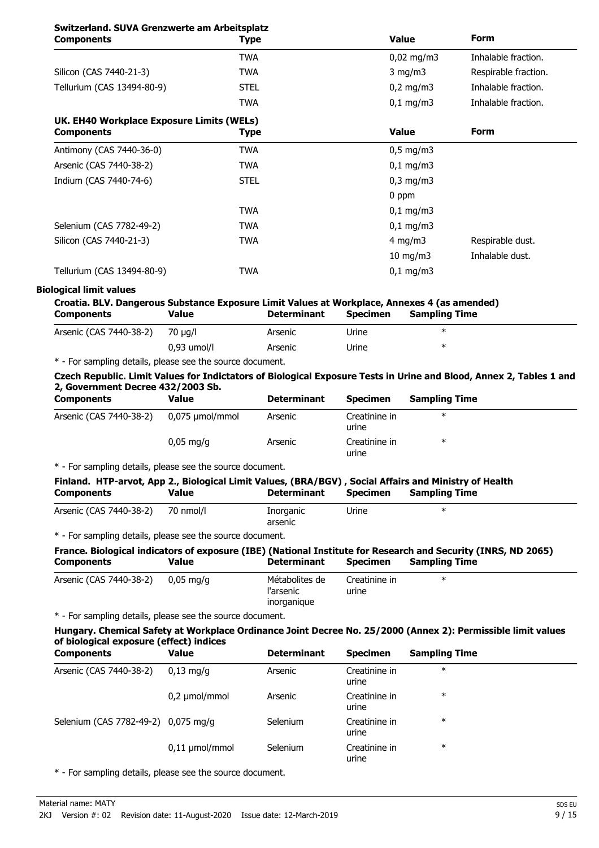### **Switzerland. SUVA Grenzwerte am Arbeitsplatz**

| Switzerland. SOVA Grenzwerte am Arbeitsplatz<br><b>Components</b> | <b>Type</b> | <b>Value</b>                         | <b>Form</b>         |
|-------------------------------------------------------------------|-------------|--------------------------------------|---------------------|
|                                                                   | <b>TWA</b>  | $0,02$ mg/m3                         | Inhalable fraction. |
| Silicon (CAS 7440-21-3)                                           | <b>TWA</b>  | $3$ mg/m $3$<br>Respirable fraction. |                     |
| Tellurium (CAS 13494-80-9)                                        | <b>STEL</b> | $0,2$ mg/m3                          | Inhalable fraction. |
|                                                                   | <b>TWA</b>  | $0,1$ mg/m3                          | Inhalable fraction. |
| UK. EH40 Workplace Exposure Limits (WELs)<br><b>Components</b>    | <b>Type</b> | <b>Value</b>                         | <b>Form</b>         |
| Antimony (CAS 7440-36-0)                                          | <b>TWA</b>  | $0,5 \text{ mg/m}$                   |                     |
| Arsenic (CAS 7440-38-2)                                           | <b>TWA</b>  | $0,1 \, \text{mg/m}$                 |                     |
| Indium (CAS 7440-74-6)                                            | <b>STEL</b> | $0,3$ mg/m $3$                       |                     |
|                                                                   |             | 0 ppm                                |                     |
|                                                                   | <b>TWA</b>  | $0,1$ mg/m3                          |                     |
| Selenium (CAS 7782-49-2)                                          | <b>TWA</b>  | $0,1 \, \text{mg/m}$                 |                     |
| Silicon (CAS 7440-21-3)                                           | <b>TWA</b>  | 4 mg/m $3$                           | Respirable dust.    |
|                                                                   |             | $10 \text{ mg/m}$                    | Inhalable dust.     |
| Tellurium (CAS 13494-80-9)                                        | <b>TWA</b>  | $0,1 \, \text{mg/m}$                 |                     |

#### **Biological limit values**

| Croatia. BLV. Dangerous Substance Exposure Limit Values at Workplace, Annexes 4 (as amended) |       |                    |                 |                      |
|----------------------------------------------------------------------------------------------|-------|--------------------|-----------------|----------------------|
| <b>Components</b>                                                                            | Value | <b>Determinant</b> | <b>Specimen</b> | <b>Sampling Time</b> |

| Arsenic (CAS 7440-38-2) | 70 µg/l       | Arsenic | Urine | ж |
|-------------------------|---------------|---------|-------|---|
|                         | $0,93$ umol/l | Arsenic | Urine | ◡ |
| .                       |               |         |       |   |

\* - For sampling details, please see the source document.

**Czech Republic. Limit Values for Indictators of Biological Exposure Tests in Urine and Blood, Annex 2, Tables 1 and 2, Government Decree 432/2003 Sb.**

| <b>Components</b>       | Value                  | <b>Determinant</b> | <b>Specimen</b>        | <b>Sampling Time</b> |
|-------------------------|------------------------|--------------------|------------------------|----------------------|
| Arsenic (CAS 7440-38-2) | 0,075 µmol/mmol        | Arsenic            | Creatinine in<br>urine | $\ast$               |
|                         | $0.05 \,\mathrm{mq/q}$ | Arsenic            | Creatinine in<br>urine | ∗                    |

\* - For sampling details, please see the source document.

| Finland. HTP-arvot, App 2., Biological Limit Values, (BRA/BGV), Social Affairs and Ministry of Health |              |                    |          |               |
|-------------------------------------------------------------------------------------------------------|--------------|--------------------|----------|---------------|
| <b>Components</b>                                                                                     | <b>Value</b> | <b>Determinant</b> | Specimen | Sampling Time |
| Arsenic (CAS 7440-38-2) 70 nmol/l                                                                     |              | Inorganic          | Urine    |               |

arsenic

\* - For sampling details, please see the source document.

#### **France. Biological indicators of exposure (IBE) (National Institute for Research and Security (INRS, ND 2065) Components Value Determinant Specimen Sampling Time**

| Arsenic (CAS 7440-38-2) | 0,05 mg/g | Métabolites de<br>l'arsenic<br>inorganique | Creatinine in<br>urine |  |
|-------------------------|-----------|--------------------------------------------|------------------------|--|
|                         |           |                                            |                        |  |

\* - For sampling details, please see the source document.

#### **Hungary. Chemical Safety at Workplace Ordinance Joint Decree No. 25/2000 (Annex 2): Permissible limit values of biological exposure (effect) indices**

| <b>Components</b>                   | Value                  | <b>Determinant</b> | <b>Specimen</b>        | <b>Sampling Time</b> |  |
|-------------------------------------|------------------------|--------------------|------------------------|----------------------|--|
| Arsenic (CAS 7440-38-2)             | $0.13 \,\mathrm{mq/q}$ | Arsenic            | Creatinine in<br>urine | $\ast$               |  |
|                                     | $0,2 \mu$ mol/mmol     | Arsenic            | Creatinine in<br>urine | $\ast$               |  |
| Selenium (CAS 7782-49-2) 0,075 mg/g |                        | Selenium           | Creatinine in<br>urine | $\ast$               |  |
|                                     | $0,11 \mu$ mol/mmol    | Selenium           | Creatinine in<br>urine | $\ast$               |  |

\* - For sampling details, please see the source document.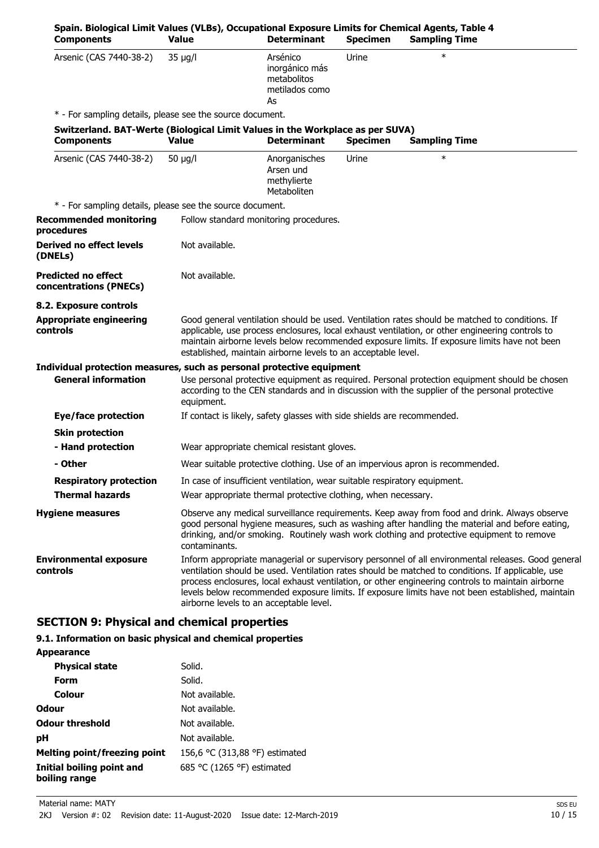| Spain. Biological Limit Values (VLBs), Occupational Exposure Limits for Chemical Agents, Table 4<br><b>Components</b> | <b>Value</b>   | <b>Determinant</b>                                                        | <b>Specimen</b> | <b>Sampling Time</b>                                                                                                                                                                                                                                                                                                                                                                                             |
|-----------------------------------------------------------------------------------------------------------------------|----------------|---------------------------------------------------------------------------|-----------------|------------------------------------------------------------------------------------------------------------------------------------------------------------------------------------------------------------------------------------------------------------------------------------------------------------------------------------------------------------------------------------------------------------------|
| Arsenic (CAS 7440-38-2)                                                                                               | $35 \mu g/l$   | Arsénico<br>inorgánico más<br>metabolitos<br>metilados como<br>As         | Urine           | $\ast$                                                                                                                                                                                                                                                                                                                                                                                                           |
| * - For sampling details, please see the source document.                                                             |                |                                                                           |                 |                                                                                                                                                                                                                                                                                                                                                                                                                  |
| Switzerland. BAT-Werte (Biological Limit Values in the Workplace as per SUVA)<br><b>Components</b>                    | <b>Value</b>   | <b>Determinant</b>                                                        | <b>Specimen</b> | <b>Sampling Time</b>                                                                                                                                                                                                                                                                                                                                                                                             |
| Arsenic (CAS 7440-38-2)                                                                                               | 50 $\mu$ g/l   | Anorganisches<br>Arsen und<br>methylierte<br>Metaboliten                  | Urine           | $\ast$                                                                                                                                                                                                                                                                                                                                                                                                           |
| * - For sampling details, please see the source document.                                                             |                |                                                                           |                 |                                                                                                                                                                                                                                                                                                                                                                                                                  |
| <b>Recommended monitoring</b><br>procedures                                                                           |                | Follow standard monitoring procedures.                                    |                 |                                                                                                                                                                                                                                                                                                                                                                                                                  |
| <b>Derived no effect levels</b><br>(DNELs)                                                                            | Not available. |                                                                           |                 |                                                                                                                                                                                                                                                                                                                                                                                                                  |
| <b>Predicted no effect</b><br>concentrations (PNECs)                                                                  | Not available. |                                                                           |                 |                                                                                                                                                                                                                                                                                                                                                                                                                  |
| 8.2. Exposure controls                                                                                                |                |                                                                           |                 |                                                                                                                                                                                                                                                                                                                                                                                                                  |
| <b>Appropriate engineering</b><br>controls                                                                            |                | established, maintain airborne levels to an acceptable level.             |                 | Good general ventilation should be used. Ventilation rates should be matched to conditions. If<br>applicable, use process enclosures, local exhaust ventilation, or other engineering controls to<br>maintain airborne levels below recommended exposure limits. If exposure limits have not been                                                                                                                |
| Individual protection measures, such as personal protective equipment                                                 |                |                                                                           |                 |                                                                                                                                                                                                                                                                                                                                                                                                                  |
| <b>General information</b>                                                                                            | equipment.     |                                                                           |                 | Use personal protective equipment as required. Personal protection equipment should be chosen<br>according to the CEN standards and in discussion with the supplier of the personal protective                                                                                                                                                                                                                   |
| Eye/face protection                                                                                                   |                | If contact is likely, safety glasses with side shields are recommended.   |                 |                                                                                                                                                                                                                                                                                                                                                                                                                  |
| <b>Skin protection</b>                                                                                                |                |                                                                           |                 |                                                                                                                                                                                                                                                                                                                                                                                                                  |
| - Hand protection                                                                                                     |                | Wear appropriate chemical resistant gloves.                               |                 |                                                                                                                                                                                                                                                                                                                                                                                                                  |
| - Other                                                                                                               |                |                                                                           |                 | Wear suitable protective clothing. Use of an impervious apron is recommended.                                                                                                                                                                                                                                                                                                                                    |
| <b>Respiratory protection</b>                                                                                         |                | In case of insufficient ventilation, wear suitable respiratory equipment. |                 |                                                                                                                                                                                                                                                                                                                                                                                                                  |
| <b>Thermal hazards</b>                                                                                                |                | Wear appropriate thermal protective clothing, when necessary.             |                 |                                                                                                                                                                                                                                                                                                                                                                                                                  |
| <b>Hygiene measures</b>                                                                                               | contaminants.  |                                                                           |                 | Observe any medical surveillance requirements. Keep away from food and drink. Always observe<br>good personal hygiene measures, such as washing after handling the material and before eating,<br>drinking, and/or smoking. Routinely wash work clothing and protective equipment to remove                                                                                                                      |
| <b>Environmental exposure</b><br>controls                                                                             |                | airborne levels to an acceptable level.                                   |                 | Inform appropriate managerial or supervisory personnel of all environmental releases. Good general<br>ventilation should be used. Ventilation rates should be matched to conditions. If applicable, use<br>process enclosures, local exhaust ventilation, or other engineering controls to maintain airborne<br>levels below recommended exposure limits. If exposure limits have not been established, maintain |

### **SECTION 9: Physical and chemical properties**

#### **9.1. Information on basic physical and chemical properties**

| <b>Appearance</b>                          |                                |
|--------------------------------------------|--------------------------------|
| <b>Physical state</b>                      | Solid.                         |
| Form                                       | Solid.                         |
| Colour                                     | Not available.                 |
| <b>Odour</b>                               | Not available.                 |
| <b>Odour threshold</b>                     | Not available.                 |
| рH                                         | Not available.                 |
| Melting point/freezing point               | 156,6 °C (313,88 °F) estimated |
| Initial boiling point and<br>boiling range | 685 °C (1265 °F) estimated     |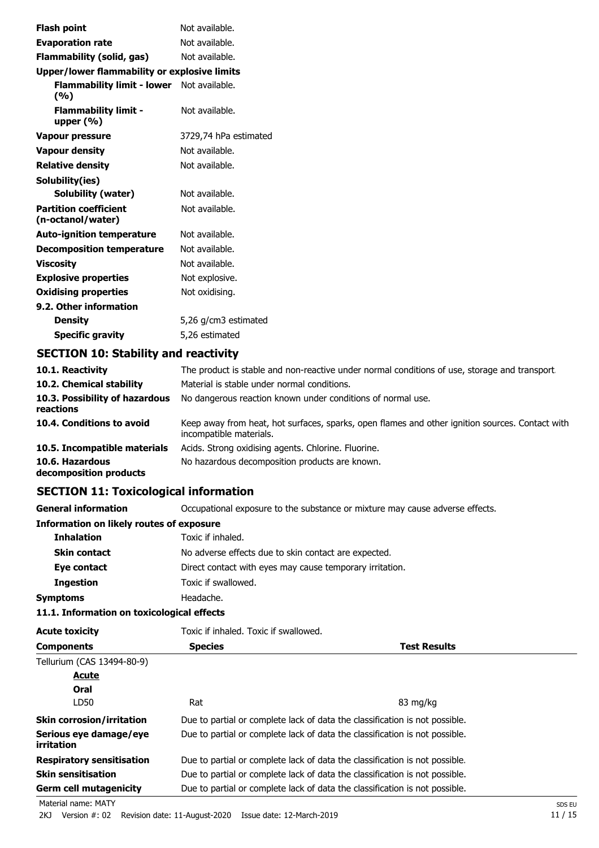| <b>Flash point</b>                                | Not available.        |  |
|---------------------------------------------------|-----------------------|--|
| <b>Evaporation rate</b>                           | Not available.        |  |
| <b>Flammability (solid, gas)</b>                  | Not available.        |  |
| Upper/lower flammability or explosive limits      |                       |  |
| Flammability limit - lower Not available.<br>(%)  |                       |  |
| <b>Flammability limit -</b><br>upper (%)          | Not available.        |  |
| <b>Vapour pressure</b>                            | 3729,74 hPa estimated |  |
| <b>Vapour density</b>                             | Not available.        |  |
| <b>Relative density</b>                           | Not available.        |  |
| Solubility(ies)                                   |                       |  |
| <b>Solubility (water)</b>                         | Not available.        |  |
| <b>Partition coefficient</b><br>(n-octanol/water) | Not available.        |  |
| <b>Auto-ignition temperature</b>                  | Not available.        |  |
| <b>Decomposition temperature</b>                  | Not available.        |  |
| <b>Viscosity</b>                                  | Not available.        |  |
| <b>Explosive properties</b>                       | Not explosive.        |  |
| <b>Oxidising properties</b>                       | Not oxidising.        |  |
| 9.2. Other information                            |                       |  |
| <b>Density</b>                                    | 5,26 g/cm3 estimated  |  |
| <b>Specific gravity</b>                           | 5,26 estimated        |  |

### **SECTION 10: Stability and reactivity**

| 10.1. Reactivity                            | The product is stable and non-reactive under normal conditions of use, storage and transport.                              |
|---------------------------------------------|----------------------------------------------------------------------------------------------------------------------------|
| 10.2. Chemical stability                    | Material is stable under normal conditions.                                                                                |
| 10.3. Possibility of hazardous<br>reactions | No dangerous reaction known under conditions of normal use.                                                                |
| 10.4. Conditions to avoid                   | Keep away from heat, hot surfaces, sparks, open flames and other ignition sources. Contact with<br>incompatible materials. |
| 10.5. Incompatible materials                | Acids. Strong oxidising agents. Chlorine. Fluorine.                                                                        |
| 10.6. Hazardous<br>decomposition products   | No hazardous decomposition products are known.                                                                             |

### **SECTION 11: Toxicological information**

**General information CCCUPATION** Occupational exposure to the substance or mixture may cause adverse effects.

#### **Information on likely routes of exposure**

| <b>Inhalation</b>   | Toxic if inhaled.                                        |
|---------------------|----------------------------------------------------------|
| <b>Skin contact</b> | No adverse effects due to skin contact are expected.     |
| Eye contact         | Direct contact with eyes may cause temporary irritation. |
| <b>Ingestion</b>    | Toxic if swallowed.                                      |
| Symptoms            | Headache.                                                |

#### **11.1. Information on toxicological effects**

| <b>Acute toxicity</b>                | Toxic if inhaled. Toxic if swallowed.                                       |                                                                             |  |
|--------------------------------------|-----------------------------------------------------------------------------|-----------------------------------------------------------------------------|--|
| <b>Species</b><br><b>Components</b>  |                                                                             | <b>Test Results</b>                                                         |  |
| Tellurium (CAS 13494-80-9)           |                                                                             |                                                                             |  |
| <u>Acute</u>                         |                                                                             |                                                                             |  |
| Oral                                 |                                                                             |                                                                             |  |
| LD50                                 | Rat                                                                         | 83 mg/kg                                                                    |  |
| <b>Skin corrosion/irritation</b>     |                                                                             | Due to partial or complete lack of data the classification is not possible. |  |
| Serious eye damage/eye<br>irritation |                                                                             | Due to partial or complete lack of data the classification is not possible. |  |
| <b>Respiratory sensitisation</b>     | Due to partial or complete lack of data the classification is not possible. |                                                                             |  |
| <b>Skin sensitisation</b>            |                                                                             | Due to partial or complete lack of data the classification is not possible. |  |
| <b>Germ cell mutagenicity</b>        |                                                                             | Due to partial or complete lack of data the classification is not possible. |  |
| Material name: MATY                  |                                                                             | SDS EU                                                                      |  |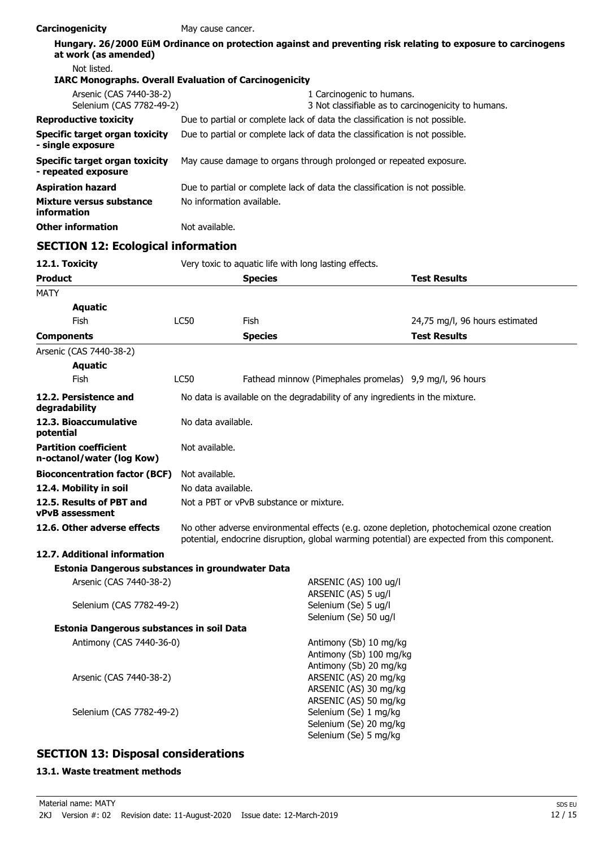| Carcinogenicity                                               | May cause cancer.                                                                                                                                                                          |                                                                              |                                                                                                              |  |
|---------------------------------------------------------------|--------------------------------------------------------------------------------------------------------------------------------------------------------------------------------------------|------------------------------------------------------------------------------|--------------------------------------------------------------------------------------------------------------|--|
| at work (as amended)                                          |                                                                                                                                                                                            |                                                                              | Hungary. 26/2000 EüM Ordinance on protection against and preventing risk relating to exposure to carcinogens |  |
| Not listed.                                                   |                                                                                                                                                                                            |                                                                              |                                                                                                              |  |
| <b>IARC Monographs. Overall Evaluation of Carcinogenicity</b> |                                                                                                                                                                                            |                                                                              |                                                                                                              |  |
| Arsenic (CAS 7440-38-2)<br>Selenium (CAS 7782-49-2)           |                                                                                                                                                                                            |                                                                              | 1 Carcinogenic to humans.<br>3 Not classifiable as to carcinogenicity to humans.                             |  |
| <b>Reproductive toxicity</b>                                  |                                                                                                                                                                                            |                                                                              | Due to partial or complete lack of data the classification is not possible.                                  |  |
| <b>Specific target organ toxicity</b>                         |                                                                                                                                                                                            |                                                                              |                                                                                                              |  |
| - single exposure                                             |                                                                                                                                                                                            | Due to partial or complete lack of data the classification is not possible.  |                                                                                                              |  |
| <b>Specific target organ toxicity</b><br>- repeated exposure  |                                                                                                                                                                                            | May cause damage to organs through prolonged or repeated exposure.           |                                                                                                              |  |
| <b>Aspiration hazard</b>                                      |                                                                                                                                                                                            | Due to partial or complete lack of data the classification is not possible.  |                                                                                                              |  |
| <b>Mixture versus substance</b><br>information                |                                                                                                                                                                                            | No information available.                                                    |                                                                                                              |  |
| <b>Other information</b>                                      | Not available.                                                                                                                                                                             |                                                                              |                                                                                                              |  |
| <b>SECTION 12: Ecological information</b>                     |                                                                                                                                                                                            |                                                                              |                                                                                                              |  |
| 12.1. Toxicity                                                |                                                                                                                                                                                            | Very toxic to aquatic life with long lasting effects.                        |                                                                                                              |  |
| <b>Product</b>                                                |                                                                                                                                                                                            | <b>Species</b>                                                               | <b>Test Results</b>                                                                                          |  |
| MATY                                                          |                                                                                                                                                                                            |                                                                              |                                                                                                              |  |
| <b>Aquatic</b>                                                |                                                                                                                                                                                            |                                                                              |                                                                                                              |  |
| Fish                                                          | <b>LC50</b>                                                                                                                                                                                | Fish                                                                         | 24,75 mg/l, 96 hours estimated                                                                               |  |
| <b>Components</b>                                             |                                                                                                                                                                                            | <b>Species</b>                                                               | <b>Test Results</b>                                                                                          |  |
| Arsenic (CAS 7440-38-2)                                       |                                                                                                                                                                                            |                                                                              |                                                                                                              |  |
| <b>Aquatic</b>                                                |                                                                                                                                                                                            |                                                                              |                                                                                                              |  |
| Fish                                                          | <b>LC50</b>                                                                                                                                                                                |                                                                              | Fathead minnow (Pimephales promelas) 9,9 mg/l, 96 hours                                                      |  |
| 12.2. Persistence and<br>degradability                        |                                                                                                                                                                                            | No data is available on the degradability of any ingredients in the mixture. |                                                                                                              |  |
| 12.3. Bioaccumulative<br>potential                            |                                                                                                                                                                                            | No data available.                                                           |                                                                                                              |  |
| <b>Partition coefficient</b><br>n-octanol/water (log Kow)     | Not available.                                                                                                                                                                             |                                                                              |                                                                                                              |  |
| <b>Bioconcentration factor (BCF)</b>                          | Not available.                                                                                                                                                                             |                                                                              |                                                                                                              |  |
| 12.4. Mobility in soil                                        | No data available.                                                                                                                                                                         |                                                                              |                                                                                                              |  |
| 12.5. Results of PBT and<br><b>vPvB</b> assessment            | Not a PBT or vPvB substance or mixture.                                                                                                                                                    |                                                                              |                                                                                                              |  |
| 12.6. Other adverse effects                                   | No other adverse environmental effects (e.g. ozone depletion, photochemical ozone creation<br>potential, endocrine disruption, global warming potential) are expected from this component. |                                                                              |                                                                                                              |  |
| 12.7. Additional information                                  |                                                                                                                                                                                            |                                                                              |                                                                                                              |  |
| Estonia Dangerous substances in groundwater Data              |                                                                                                                                                                                            |                                                                              |                                                                                                              |  |
| Arsenic (CAS 7440-38-2)                                       |                                                                                                                                                                                            |                                                                              | ARSENIC (AS) 100 ug/l                                                                                        |  |
|                                                               |                                                                                                                                                                                            |                                                                              | ARSENIC (AS) 5 ug/l                                                                                          |  |
| Selenium (CAS 7782-49-2)                                      | Selenium (Se) 5 ug/l<br>Selenium (Se) 50 ug/l                                                                                                                                              |                                                                              |                                                                                                              |  |
| Estonia Dangerous substances in soil Data                     |                                                                                                                                                                                            |                                                                              |                                                                                                              |  |
| Antimony (CAS 7440-36-0)                                      |                                                                                                                                                                                            |                                                                              | Antimony (Sb) 10 mg/kg<br>Antimony (Sb) 100 mg/kg<br>Antimony (Sb) 20 mg/kg                                  |  |
| Arsenic (CAS 7440-38-2)                                       |                                                                                                                                                                                            |                                                                              | ARSENIC (AS) 20 mg/kg<br>ARSENIC (AS) 30 mg/kg                                                               |  |

ARSENIC (AS) 50 mg/kg

Selenium (Se) 20 mg/kg Selenium (Se) 5 mg/kg

Selenium (CAS 7782-49-2) Selenium (Se) 1 mg/kg

### **SECTION 13: Disposal considerations**

#### **13.1. Waste treatment methods**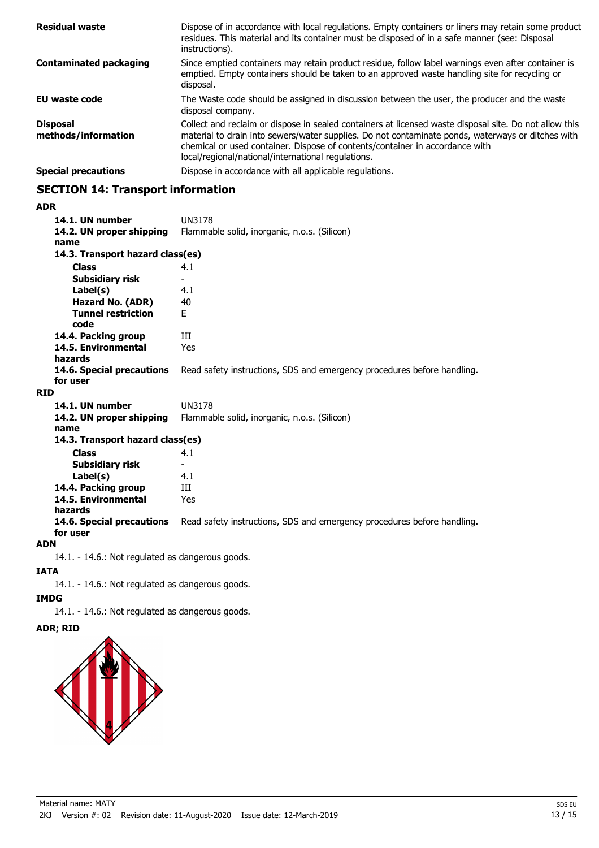| <b>Residual waste</b>                  | Dispose of in accordance with local regulations. Empty containers or liners may retain some product<br>residues. This material and its container must be disposed of in a safe manner (see: Disposal<br>instructions).                                                                                                                            |
|----------------------------------------|---------------------------------------------------------------------------------------------------------------------------------------------------------------------------------------------------------------------------------------------------------------------------------------------------------------------------------------------------|
| <b>Contaminated packaging</b>          | Since emptied containers may retain product residue, follow label warnings even after container is<br>emptied. Empty containers should be taken to an approved waste handling site for recycling or<br>disposal.                                                                                                                                  |
| <b>EU</b> waste code                   | The Waste code should be assigned in discussion between the user, the producer and the waste<br>disposal company.                                                                                                                                                                                                                                 |
| <b>Disposal</b><br>methods/information | Collect and reclaim or dispose in sealed containers at licensed waste disposal site. Do not allow this<br>material to drain into sewers/water supplies. Do not contaminate ponds, waterways or ditches with<br>chemical or used container. Dispose of contents/container in accordance with<br>local/regional/national/international regulations. |
| <b>Special precautions</b>             | Dispose in accordance with all applicable regulations.                                                                                                                                                                                                                                                                                            |

### **SECTION 14: Transport information**

#### **ADR**

| 14.1. UN number<br>14.2. UN proper shipping<br>name | <b>UN3178</b><br>Flammable solid, inorganic, n.o.s. (Silicon)           |
|-----------------------------------------------------|-------------------------------------------------------------------------|
| 14.3. Transport hazard class(es)                    |                                                                         |
| <b>Class</b>                                        | 4.1                                                                     |
| Subsidiary risk                                     |                                                                         |
| Label(s)                                            | 4.1                                                                     |
| Hazard No. (ADR)                                    | 40                                                                      |
| <b>Tunnel restriction</b><br>code                   | F.                                                                      |
| 14.4. Packing group                                 | ИI                                                                      |
| 14.5. Environmental<br>hazards                      | Yes                                                                     |
| 14.6. Special precautions<br>for user               | Read safety instructions, SDS and emergency procedures before handling. |
| <b>RID</b>                                          |                                                                         |
| 14.1. UN number                                     | <b>UN3178</b>                                                           |
| 14.2. UN proper shipping<br>name                    | Flammable solid, inorganic, n.o.s. (Silicon)                            |
| 14.3. Transport hazard class(es)                    |                                                                         |
| <b>Class</b>                                        | 4.1                                                                     |
| Subsidiary risk                                     |                                                                         |
| Label(s)                                            | 4.1                                                                     |
| 14.4. Packing group                                 | Ш                                                                       |
| 14.5. Environmental<br>hazards                      | Yes                                                                     |
| 14.6. Special precautions<br>for user               | Read safety instructions, SDS and emergency procedures before handling. |

#### **ADN**

14.1. - 14.6.: Not regulated as dangerous goods.

#### **IATA**

14.1. - 14.6.: Not regulated as dangerous goods.

# **IMDG**

14.1. - 14.6.: Not regulated as dangerous goods.

### **ADR; RID**

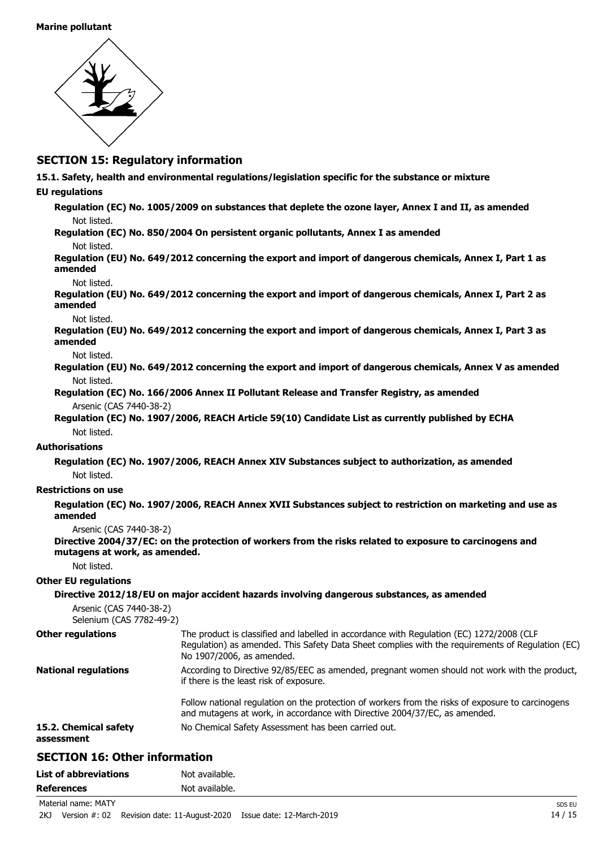

#### **SECTION 15: Regulatory information**

**15.1. Safety, health and environmental regulations/legislation specific for the substance or mixture**

#### **EU regulations**

- **Regulation (EC) No. 1005/2009 on substances that deplete the ozone layer, Annex I and II, as amended** Not listed.
- **Regulation (EC) No. 850/2004 On persistent organic pollutants, Annex I as amended**
	- Not listed.

**Regulation (EU) No. 649/2012 concerning the export and import of dangerous chemicals, Annex I, Part 1 as amended**

Not listed.

**Regulation (EU) No. 649/2012 concerning the export and import of dangerous chemicals, Annex I, Part 2 as amended**

Not listed.

**Regulation (EU) No. 649/2012 concerning the export and import of dangerous chemicals, Annex I, Part 3 as amended**

Not listed.

- **Regulation (EU) No. 649/2012 concerning the export and import of dangerous chemicals, Annex V as amended** Not listed.
- **Regulation (EC) No. 166/2006 Annex II Pollutant Release and Transfer Registry, as amended** Arsenic (CAS 7440-38-2)
- **Regulation (EC) No. 1907/2006, REACH Article 59(10) Candidate List as currently published by ECHA** Not listed.

#### **Authorisations**

**Regulation (EC) No. 1907/2006, REACH Annex XIV Substances subject to authorization, as amended** Not listed.

#### **Restrictions on use**

**Regulation (EC) No. 1907/2006, REACH Annex XVII Substances subject to restriction on marketing and use as amended**

Arsenic (CAS 7440-38-2)

**Directive 2004/37/EC: on the protection of workers from the risks related to exposure to carcinogens and mutagens at work, as amended.**

Not listed.

#### **Other EU regulations**

#### **Directive 2012/18/EU on major accident hazards involving dangerous substances, as amended** Arsenic (CAS 7440-38-2) Selenium (CAS 7782-49-2) The product is classified and labelled in accordance with Regulation (EC) 1272/2008 (CLP Regulation) as amended. This Safety Data Sheet complies with the requirements of Regulation (EC) No 1907/2006, as amended. **Other regulations** According to Directive 92/85/EEC as amended, pregnant women should not work with the product, if there is the least risk of exposure. Follow national regulation on the protection of workers from the risks of exposure to carcinogens and mutagens at work, in accordance with Directive 2004/37/EC, as amended. **National regulations 15.2. Chemical safety** No Chemical Safety Assessment has been carried out. **assessment**

### **SECTION 16: Other information**

| <b>List of abbreviations</b> | Not available. |
|------------------------------|----------------|
| <b>References</b>            | Not available. |

Material name: MATY Special name: MATY Special name: MATY Special name: MATY Special name: MATY Special name: MATY Special name: MATY Special name: MATY Special name: MATY Special name: MATY Special name: MATY Special name

2KJ Version #: 02 Revision date: 11-August-2020 Issue date: 12-March-2019 14 / 15